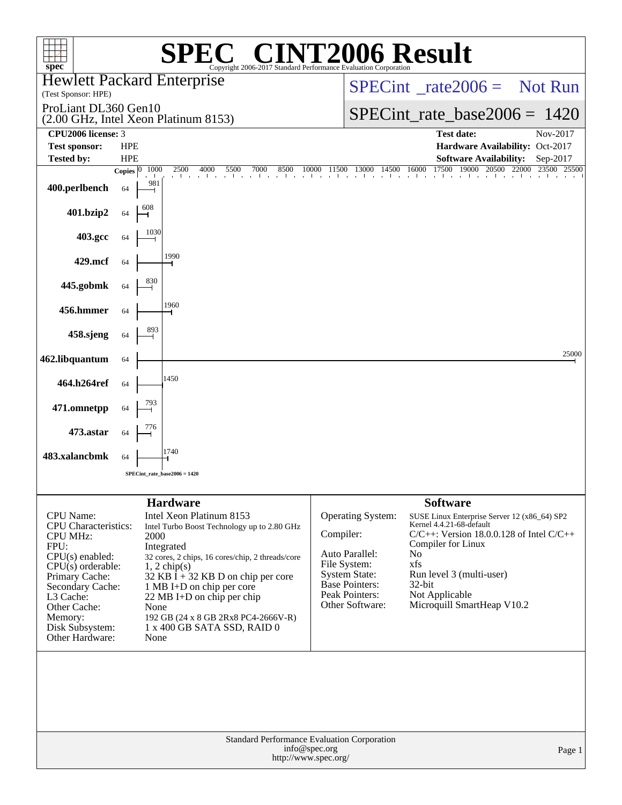| spec <sup>®</sup>                                                                                                                                                                                                                   |                            | $\bigcap$<br>Copyright 2006-2017 Standard Performance Evaluation Corporation                                                                                                                                                                                                                                                       | <b>INT2006 Result</b>                                                                                                                                  |                                                                                                                                                                                                                                                    |                         |
|-------------------------------------------------------------------------------------------------------------------------------------------------------------------------------------------------------------------------------------|----------------------------|------------------------------------------------------------------------------------------------------------------------------------------------------------------------------------------------------------------------------------------------------------------------------------------------------------------------------------|--------------------------------------------------------------------------------------------------------------------------------------------------------|----------------------------------------------------------------------------------------------------------------------------------------------------------------------------------------------------------------------------------------------------|-------------------------|
| <b>Hewlett Packard Enterprise</b><br>(Test Sponsor: HPE)                                                                                                                                                                            |                            |                                                                                                                                                                                                                                                                                                                                    |                                                                                                                                                        | $SPECint^{\circ}$ <sub>rate</sub> 2006 = Not Run                                                                                                                                                                                                   |                         |
| ProLiant DL360 Gen10                                                                                                                                                                                                                |                            | (2.00 GHz, Intel Xeon Platinum 8153)                                                                                                                                                                                                                                                                                               |                                                                                                                                                        | $SPECint_rate_base2006 = 1420$                                                                                                                                                                                                                     |                         |
| CPU2006 license: 3<br><b>Test sponsor:</b><br><b>Tested by:</b>                                                                                                                                                                     | <b>HPE</b><br><b>HPE</b>   |                                                                                                                                                                                                                                                                                                                                    |                                                                                                                                                        | <b>Test date:</b><br>Hardware Availability: Oct-2017<br><b>Software Availability:</b>                                                                                                                                                              | Nov-2017<br>Sep-2017    |
|                                                                                                                                                                                                                                     | 1000<br>Copies $ 0\rangle$ | 2500<br>4000<br>7000<br>5500<br>8500                                                                                                                                                                                                                                                                                               | 14500<br>10000<br>11500<br>13000                                                                                                                       | 17500<br>19000<br>16000<br>$\overline{20500}$                                                                                                                                                                                                      | 22000<br>23500<br>25500 |
| 400.perlbench                                                                                                                                                                                                                       | 981<br>64                  | .                                                                                                                                                                                                                                                                                                                                  | the control of the control of                                                                                                                          | the contract of the contract of                                                                                                                                                                                                                    |                         |
| 401.bzip2                                                                                                                                                                                                                           | 608<br>64                  |                                                                                                                                                                                                                                                                                                                                    |                                                                                                                                                        |                                                                                                                                                                                                                                                    |                         |
| 403.gcc                                                                                                                                                                                                                             | 1030<br>64                 |                                                                                                                                                                                                                                                                                                                                    |                                                                                                                                                        |                                                                                                                                                                                                                                                    |                         |
| 429.mcf                                                                                                                                                                                                                             | 64                         | 1990                                                                                                                                                                                                                                                                                                                               |                                                                                                                                                        |                                                                                                                                                                                                                                                    |                         |
| 445.gobmk                                                                                                                                                                                                                           | 830<br>64                  |                                                                                                                                                                                                                                                                                                                                    |                                                                                                                                                        |                                                                                                                                                                                                                                                    |                         |
| 456.hmmer                                                                                                                                                                                                                           | 64                         | 1960                                                                                                                                                                                                                                                                                                                               |                                                                                                                                                        |                                                                                                                                                                                                                                                    |                         |
| 458.sjeng                                                                                                                                                                                                                           | 893<br>64                  |                                                                                                                                                                                                                                                                                                                                    |                                                                                                                                                        |                                                                                                                                                                                                                                                    |                         |
| 462.libquantum                                                                                                                                                                                                                      | 64                         |                                                                                                                                                                                                                                                                                                                                    |                                                                                                                                                        |                                                                                                                                                                                                                                                    | 25000                   |
| 464.h264ref                                                                                                                                                                                                                         | 64                         | 1450                                                                                                                                                                                                                                                                                                                               |                                                                                                                                                        |                                                                                                                                                                                                                                                    |                         |
| 471.omnetpp                                                                                                                                                                                                                         | 793<br>64                  |                                                                                                                                                                                                                                                                                                                                    |                                                                                                                                                        |                                                                                                                                                                                                                                                    |                         |
| 473.astar                                                                                                                                                                                                                           | 64                         |                                                                                                                                                                                                                                                                                                                                    |                                                                                                                                                        |                                                                                                                                                                                                                                                    |                         |
| 483.xalancbmk                                                                                                                                                                                                                       | 64                         | 1740<br>SPECint rate base $2006 = 1420$                                                                                                                                                                                                                                                                                            |                                                                                                                                                        |                                                                                                                                                                                                                                                    |                         |
|                                                                                                                                                                                                                                     |                            |                                                                                                                                                                                                                                                                                                                                    |                                                                                                                                                        |                                                                                                                                                                                                                                                    |                         |
|                                                                                                                                                                                                                                     |                            | <b>Hardware</b>                                                                                                                                                                                                                                                                                                                    |                                                                                                                                                        | <b>Software</b>                                                                                                                                                                                                                                    |                         |
| CPU Name:<br><b>CPU</b> Characteristics:<br><b>CPU MHz:</b><br>FPU:<br>$CPU(s)$ enabled:<br>$CPU(s)$ orderable:<br>Primary Cache:<br>Secondary Cache:<br>L3 Cache:<br>Other Cache:<br>Memory:<br>Disk Subsystem:<br>Other Hardware: | 2000<br>None<br>None       | Intel Xeon Platinum 8153<br>Intel Turbo Boost Technology up to 2.80 GHz<br>Integrated<br>32 cores, 2 chips, 16 cores/chip, 2 threads/core<br>$1, 2$ chip(s)<br>32 KB I + 32 KB D on chip per core<br>1 MB I+D on chip per core<br>22 MB I+D on chip per chip<br>192 GB (24 x 8 GB 2Rx8 PC4-2666V-R)<br>1 x 400 GB SATA SSD, RAID 0 | <b>Operating System:</b><br>Compiler:<br>Auto Parallel:<br>File System:<br><b>System State:</b><br>Base Pointers:<br>Peak Pointers:<br>Other Software: | SUSE Linux Enterprise Server 12 (x86_64) SP2<br>Kernel 4.4.21-68-default<br>$C/C++$ : Version 18.0.0.128 of Intel $C/C++$<br>Compiler for Linux<br>No<br>xfs<br>Run level 3 (multi-user)<br>32-bit<br>Not Applicable<br>Microquill SmartHeap V10.2 |                         |
|                                                                                                                                                                                                                                     |                            | info@spec.org                                                                                                                                                                                                                                                                                                                      | Standard Performance Evaluation Corporation<br>http://www.spec.org/                                                                                    |                                                                                                                                                                                                                                                    | Page 1                  |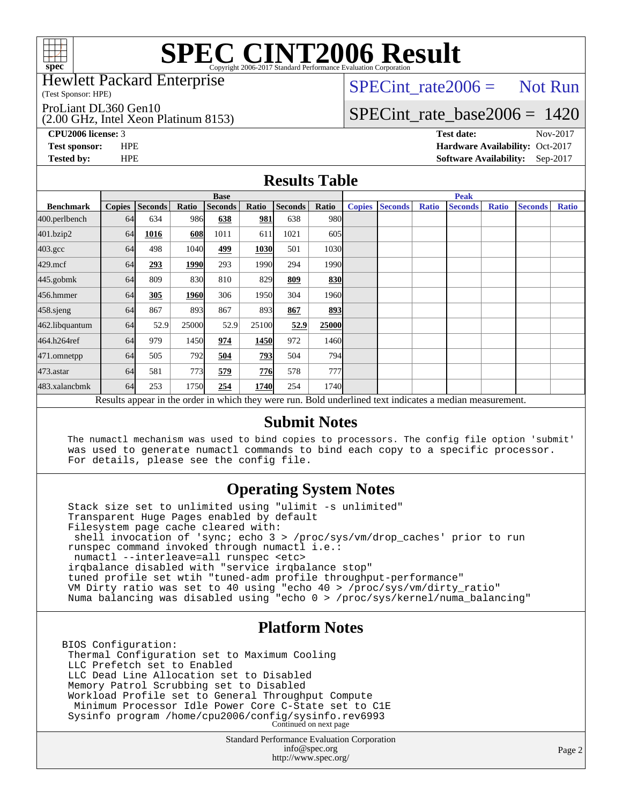

Hewlett Packard Enterprise

(Test Sponsor: HPE)

ProLiant DL360 Gen10

(2.00 GHz, Intel Xeon Platinum 8153)

 $SPECTnt_rate2006 = Not Run$ 

### [SPECint\\_rate\\_base2006 =](http://www.spec.org/auto/cpu2006/Docs/result-fields.html#SPECintratebase2006) 1420

**[CPU2006 license:](http://www.spec.org/auto/cpu2006/Docs/result-fields.html#CPU2006license)** 3 **[Test date:](http://www.spec.org/auto/cpu2006/Docs/result-fields.html#Testdate)** Nov-2017 **[Test sponsor:](http://www.spec.org/auto/cpu2006/Docs/result-fields.html#Testsponsor)** HPE **[Hardware Availability:](http://www.spec.org/auto/cpu2006/Docs/result-fields.html#HardwareAvailability)** Oct-2017 **[Tested by:](http://www.spec.org/auto/cpu2006/Docs/result-fields.html#Testedby)** HPE **[Software Availability:](http://www.spec.org/auto/cpu2006/Docs/result-fields.html#SoftwareAvailability)** Sep-2017

### **[Results Table](http://www.spec.org/auto/cpu2006/Docs/result-fields.html#ResultsTable)**

|                    | <b>Base</b>                                                                                              |                |       |                |            |         | <b>Peak</b>       |               |                |              |                |              |                |              |
|--------------------|----------------------------------------------------------------------------------------------------------|----------------|-------|----------------|------------|---------|-------------------|---------------|----------------|--------------|----------------|--------------|----------------|--------------|
| <b>Benchmark</b>   | <b>Copies</b>                                                                                            | <b>Seconds</b> | Ratio | <b>Seconds</b> | Ratio      | Seconds | Ratio             | <b>Copies</b> | <b>Seconds</b> | <b>Ratio</b> | <b>Seconds</b> | <b>Ratio</b> | <b>Seconds</b> | <b>Ratio</b> |
| 400.perlbench      | 64                                                                                                       | 634            | 986   | 638            | <u>981</u> | 638     | 980l              |               |                |              |                |              |                |              |
| 401.bzip2          | 64                                                                                                       | 1016           | 608   | 1011           | 611        | 1021    | 605               |               |                |              |                |              |                |              |
| $403.\mathrm{gcc}$ | 64                                                                                                       | 498            | 1040  | 499            | 1030       | 501     | 1030              |               |                |              |                |              |                |              |
| $429$ .mcf         | 64                                                                                                       | 293            | 1990  | 293            | 1990       | 294     | 1990              |               |                |              |                |              |                |              |
| $445$ .gobm $k$    | 64                                                                                                       | 809            | 830   | 810            | 829        | 809     | 830               |               |                |              |                |              |                |              |
| 456.hmmer          | 64                                                                                                       | 305            | 1960  | 306            | 1950       | 304     | 1960 <sub>l</sub> |               |                |              |                |              |                |              |
| 458.sjeng          | 64                                                                                                       | 867            | 893   | 867            | 893        | 867     | 893               |               |                |              |                |              |                |              |
| 462.libquantum     | 64                                                                                                       | 52.9           | 25000 | 52.9           | 25100      | 52.9    | 25000             |               |                |              |                |              |                |              |
| 464.h264ref        | 64                                                                                                       | 979            | 1450  | 974            | 1450       | 972     | 1460              |               |                |              |                |              |                |              |
| 471.omnetpp        | 64                                                                                                       | 505            | 792   | 504            | 793        | 504     | <b>794</b>        |               |                |              |                |              |                |              |
| 473.astar          | 64                                                                                                       | 581            | 773   | 579            | 776        | 578     | 777               |               |                |              |                |              |                |              |
| 483.xalancbmk      | 64                                                                                                       | 253            | 1750  | 254            | 1740       | 254     | 1740 <b>I</b>     |               |                |              |                |              |                |              |
|                    | Results appear in the order in which they were run. Bold underlined text indicates a median measurement. |                |       |                |            |         |                   |               |                |              |                |              |                |              |

#### **[Submit Notes](http://www.spec.org/auto/cpu2006/Docs/result-fields.html#SubmitNotes)**

 The numactl mechanism was used to bind copies to processors. The config file option 'submit' was used to generate numactl commands to bind each copy to a specific processor. For details, please see the config file.

### **[Operating System Notes](http://www.spec.org/auto/cpu2006/Docs/result-fields.html#OperatingSystemNotes)**

 Stack size set to unlimited using "ulimit -s unlimited" Transparent Huge Pages enabled by default Filesystem page cache cleared with: shell invocation of 'sync; echo 3 > /proc/sys/vm/drop\_caches' prior to run runspec command invoked through numactl i.e.: numactl --interleave=all runspec <etc> irqbalance disabled with "service irqbalance stop" tuned profile set wtih "tuned-adm profile throughput-performance" VM Dirty ratio was set to 40 using "echo 40 > /proc/sys/vm/dirty\_ratio" Numa balancing was disabled using "echo 0 > /proc/sys/kernel/numa\_balancing"

### **[Platform Notes](http://www.spec.org/auto/cpu2006/Docs/result-fields.html#PlatformNotes)**

BIOS Configuration: Thermal Configuration set to Maximum Cooling LLC Prefetch set to Enabled LLC Dead Line Allocation set to Disabled Memory Patrol Scrubbing set to Disabled Workload Profile set to General Throughput Compute Minimum Processor Idle Power Core C-State set to C1E Sysinfo program /home/cpu2006/config/sysinfo.rev6993 Continued on next page

> Standard Performance Evaluation Corporation [info@spec.org](mailto:info@spec.org) <http://www.spec.org/>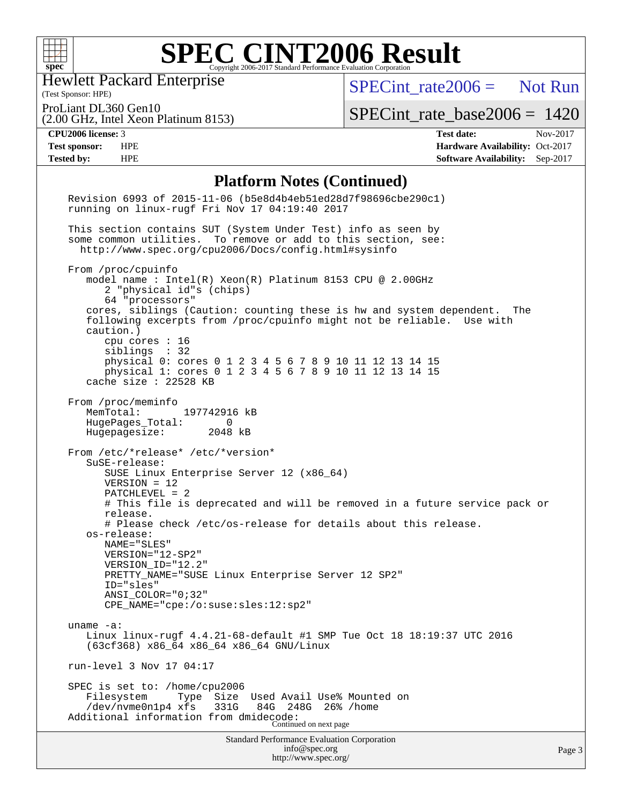

Hewlett Packard Enterprise

[SPECint\\_rate2006 =](http://www.spec.org/auto/cpu2006/Docs/result-fields.html#SPECintrate2006) Not Run

(Test Sponsor: HPE) ProLiant DL360 Gen10

[SPECint\\_rate\\_base2006 =](http://www.spec.org/auto/cpu2006/Docs/result-fields.html#SPECintratebase2006) 1420

(2.00 GHz, Intel Xeon Platinum 8153)

**[CPU2006 license:](http://www.spec.org/auto/cpu2006/Docs/result-fields.html#CPU2006license)** 3 **[Test date:](http://www.spec.org/auto/cpu2006/Docs/result-fields.html#Testdate)** Nov-2017 **[Test sponsor:](http://www.spec.org/auto/cpu2006/Docs/result-fields.html#Testsponsor)** HPE **[Hardware Availability:](http://www.spec.org/auto/cpu2006/Docs/result-fields.html#HardwareAvailability)** Oct-2017 **[Tested by:](http://www.spec.org/auto/cpu2006/Docs/result-fields.html#Testedby)** HPE **[Software Availability:](http://www.spec.org/auto/cpu2006/Docs/result-fields.html#SoftwareAvailability)** Sep-2017

#### **[Platform Notes \(Continued\)](http://www.spec.org/auto/cpu2006/Docs/result-fields.html#PlatformNotes)**

| <b>Standard Performance Evaluation Corporation</b><br>info@spec.org                                                                                                                                                                                                                                                                                                                                                                                                                           | Page |
|-----------------------------------------------------------------------------------------------------------------------------------------------------------------------------------------------------------------------------------------------------------------------------------------------------------------------------------------------------------------------------------------------------------------------------------------------------------------------------------------------|------|
| SPEC is set to: /home/cpu2006<br>Filesystem<br>Type<br>Size<br>Used Avail Use% Mounted on<br>331G<br>/dev/nvme0n1p4 xfs<br>84G<br>248G 26% / home<br>Additional information from dmidecode:<br>Continued on next page                                                                                                                                                                                                                                                                         |      |
| run-level 3 Nov 17 04:17                                                                                                                                                                                                                                                                                                                                                                                                                                                                      |      |
| uname $-a$ :<br>Linux linux-rugf 4.4.21-68-default #1 SMP Tue Oct 18 18:19:37 UTC 2016<br>(63cf368) x86_64 x86_64 x86_64 GNU/Linux                                                                                                                                                                                                                                                                                                                                                            |      |
| release.<br># Please check /etc/os-release for details about this release.<br>os-release:<br>NAME="SLES"<br>VERSION="12-SP2"<br>VERSION_ID="12.2"<br>PRETTY_NAME="SUSE Linux Enterprise Server 12 SP2"<br>ID="sles"<br>ANSI COLOR="0;32"<br>CPE_NAME="cpe:/o:suse:sles:12:sp2"                                                                                                                                                                                                                |      |
| From /etc/*release* /etc/*version*<br>SuSE-release:<br>SUSE Linux Enterprise Server 12 (x86_64)<br>$VERSION = 12$<br>PATCHLEVEL = 2<br># This file is deprecated and will be removed in a future service pack or                                                                                                                                                                                                                                                                              |      |
| From /proc/meminfo<br>197742916 kB<br>MemTotal:<br>HugePages_Total:<br>0<br>Hugepagesize: 2048 kB                                                                                                                                                                                                                                                                                                                                                                                             |      |
| From /proc/cpuinfo<br>model name: $Intel(R)$ Xeon $(R)$ Platinum 8153 CPU @ 2.00GHz<br>2 "physical id"s (chips)<br>64 "processors"<br>cores, siblings (Caution: counting these is hw and system dependent.<br>The<br>following excerpts from /proc/cpuinfo might not be reliable. Use with<br>caution.)<br>cpu cores $: 16$<br>siblings : 32<br>physical 0: cores 0 1 2 3 4 5 6 7 8 9 10 11 12 13 14 15<br>physical 1: cores 0 1 2 3 4 5 6 7 8 9 10 11 12 13 14 15<br>cache size $: 22528$ KB |      |
| This section contains SUT (System Under Test) info as seen by<br>some common utilities. To remove or add to this section, see:<br>http://www.spec.org/cpu2006/Docs/config.html#sysinfo                                                                                                                                                                                                                                                                                                        |      |
| Revision 6993 of 2015-11-06 (b5e8d4b4eb51ed28d7f98696cbe290c1)<br>running on linux-rugf Fri Nov 17 04:19:40 2017                                                                                                                                                                                                                                                                                                                                                                              |      |
|                                                                                                                                                                                                                                                                                                                                                                                                                                                                                               |      |

<http://www.spec.org/>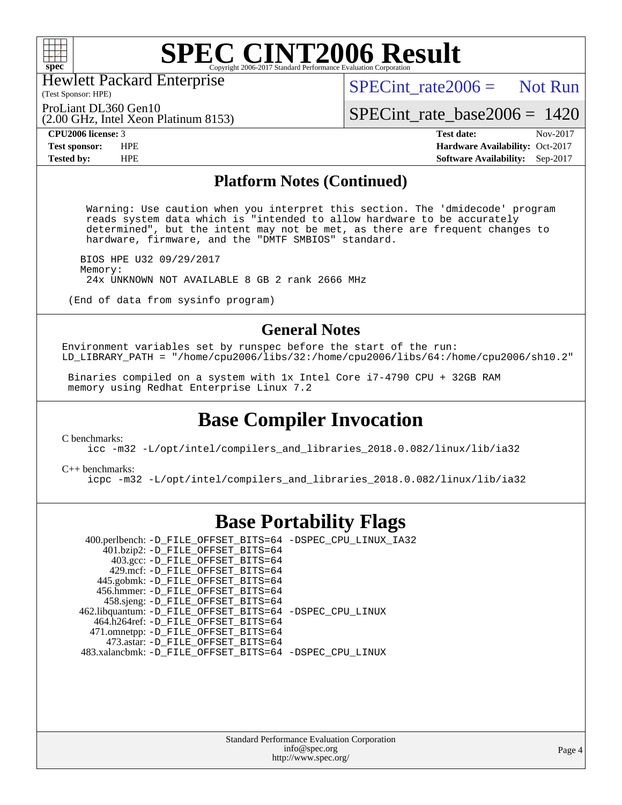

Hewlett Packard Enterprise

(2.00 GHz, Intel Xeon Platinum 8153)

 $SPECint rate2006 =$  Not Run

(Test Sponsor: HPE) ProLiant DL360 Gen10

[SPECint\\_rate\\_base2006 =](http://www.spec.org/auto/cpu2006/Docs/result-fields.html#SPECintratebase2006) 1420

**[CPU2006 license:](http://www.spec.org/auto/cpu2006/Docs/result-fields.html#CPU2006license)** 3 **[Test date:](http://www.spec.org/auto/cpu2006/Docs/result-fields.html#Testdate)** Nov-2017 **[Test sponsor:](http://www.spec.org/auto/cpu2006/Docs/result-fields.html#Testsponsor)** HPE **[Hardware Availability:](http://www.spec.org/auto/cpu2006/Docs/result-fields.html#HardwareAvailability)** Oct-2017 **[Tested by:](http://www.spec.org/auto/cpu2006/Docs/result-fields.html#Testedby)** HPE **[Software Availability:](http://www.spec.org/auto/cpu2006/Docs/result-fields.html#SoftwareAvailability)** Sep-2017

#### **[Platform Notes \(Continued\)](http://www.spec.org/auto/cpu2006/Docs/result-fields.html#PlatformNotes)**

 Warning: Use caution when you interpret this section. The 'dmidecode' program reads system data which is "intended to allow hardware to be accurately determined", but the intent may not be met, as there are frequent changes to hardware, firmware, and the "DMTF SMBIOS" standard.

 BIOS HPE U32 09/29/2017 Memory: 24x UNKNOWN NOT AVAILABLE 8 GB 2 rank 2666 MHz

(End of data from sysinfo program)

### **[General Notes](http://www.spec.org/auto/cpu2006/Docs/result-fields.html#GeneralNotes)**

Environment variables set by runspec before the start of the run: LD\_LIBRARY\_PATH = "/home/cpu2006/libs/32:/home/cpu2006/libs/64:/home/cpu2006/sh10.2"

 Binaries compiled on a system with 1x Intel Core i7-4790 CPU + 32GB RAM memory using Redhat Enterprise Linux 7.2

### **[Base Compiler Invocation](http://www.spec.org/auto/cpu2006/Docs/result-fields.html#BaseCompilerInvocation)**

[C benchmarks](http://www.spec.org/auto/cpu2006/Docs/result-fields.html#Cbenchmarks):

[icc -m32 -L/opt/intel/compilers\\_and\\_libraries\\_2018.0.082/linux/lib/ia32](http://www.spec.org/cpu2006/results/res2017q4/cpu2006-20171128-50866.flags.html#user_CCbase_intel_icc_355c401af4d5dc87e09103a6bbcae1c6)

[C++ benchmarks:](http://www.spec.org/auto/cpu2006/Docs/result-fields.html#CXXbenchmarks) [icpc -m32 -L/opt/intel/compilers\\_and\\_libraries\\_2018.0.082/linux/lib/ia32](http://www.spec.org/cpu2006/results/res2017q4/cpu2006-20171128-50866.flags.html#user_CXXbase_intel_icpc_b34a6f497613b30bc6bf10051974f22f)

### **[Base Portability Flags](http://www.spec.org/auto/cpu2006/Docs/result-fields.html#BasePortabilityFlags)**

 400.perlbench: [-D\\_FILE\\_OFFSET\\_BITS=64](http://www.spec.org/cpu2006/results/res2017q4/cpu2006-20171128-50866.flags.html#user_basePORTABILITY400_perlbench_file_offset_bits_64_438cf9856305ebd76870a2c6dc2689ab) [-DSPEC\\_CPU\\_LINUX\\_IA32](http://www.spec.org/cpu2006/results/res2017q4/cpu2006-20171128-50866.flags.html#b400.perlbench_baseCPORTABILITY_DSPEC_CPU_LINUX_IA32)  $401.bzip2$ : [-D\\_FILE\\_OFFSET\\_BITS=64](http://www.spec.org/cpu2006/results/res2017q4/cpu2006-20171128-50866.flags.html#user_basePORTABILITY401_bzip2_file_offset_bits_64_438cf9856305ebd76870a2c6dc2689ab) 403.gcc: [-D\\_FILE\\_OFFSET\\_BITS=64](http://www.spec.org/cpu2006/results/res2017q4/cpu2006-20171128-50866.flags.html#user_basePORTABILITY403_gcc_file_offset_bits_64_438cf9856305ebd76870a2c6dc2689ab) 429.mcf: [-D\\_FILE\\_OFFSET\\_BITS=64](http://www.spec.org/cpu2006/results/res2017q4/cpu2006-20171128-50866.flags.html#user_basePORTABILITY429_mcf_file_offset_bits_64_438cf9856305ebd76870a2c6dc2689ab) 445.gobmk: [-D\\_FILE\\_OFFSET\\_BITS=64](http://www.spec.org/cpu2006/results/res2017q4/cpu2006-20171128-50866.flags.html#user_basePORTABILITY445_gobmk_file_offset_bits_64_438cf9856305ebd76870a2c6dc2689ab) 456.hmmer: [-D\\_FILE\\_OFFSET\\_BITS=64](http://www.spec.org/cpu2006/results/res2017q4/cpu2006-20171128-50866.flags.html#user_basePORTABILITY456_hmmer_file_offset_bits_64_438cf9856305ebd76870a2c6dc2689ab) 458.sjeng: [-D\\_FILE\\_OFFSET\\_BITS=64](http://www.spec.org/cpu2006/results/res2017q4/cpu2006-20171128-50866.flags.html#user_basePORTABILITY458_sjeng_file_offset_bits_64_438cf9856305ebd76870a2c6dc2689ab) 462.libquantum: [-D\\_FILE\\_OFFSET\\_BITS=64](http://www.spec.org/cpu2006/results/res2017q4/cpu2006-20171128-50866.flags.html#user_basePORTABILITY462_libquantum_file_offset_bits_64_438cf9856305ebd76870a2c6dc2689ab) [-DSPEC\\_CPU\\_LINUX](http://www.spec.org/cpu2006/results/res2017q4/cpu2006-20171128-50866.flags.html#b462.libquantum_baseCPORTABILITY_DSPEC_CPU_LINUX) 464.h264ref: [-D\\_FILE\\_OFFSET\\_BITS=64](http://www.spec.org/cpu2006/results/res2017q4/cpu2006-20171128-50866.flags.html#user_basePORTABILITY464_h264ref_file_offset_bits_64_438cf9856305ebd76870a2c6dc2689ab) 471.omnetpp: [-D\\_FILE\\_OFFSET\\_BITS=64](http://www.spec.org/cpu2006/results/res2017q4/cpu2006-20171128-50866.flags.html#user_basePORTABILITY471_omnetpp_file_offset_bits_64_438cf9856305ebd76870a2c6dc2689ab) 473.astar: [-D\\_FILE\\_OFFSET\\_BITS=64](http://www.spec.org/cpu2006/results/res2017q4/cpu2006-20171128-50866.flags.html#user_basePORTABILITY473_astar_file_offset_bits_64_438cf9856305ebd76870a2c6dc2689ab) 483.xalancbmk: [-D\\_FILE\\_OFFSET\\_BITS=64](http://www.spec.org/cpu2006/results/res2017q4/cpu2006-20171128-50866.flags.html#user_basePORTABILITY483_xalancbmk_file_offset_bits_64_438cf9856305ebd76870a2c6dc2689ab) [-DSPEC\\_CPU\\_LINUX](http://www.spec.org/cpu2006/results/res2017q4/cpu2006-20171128-50866.flags.html#b483.xalancbmk_baseCXXPORTABILITY_DSPEC_CPU_LINUX)

> Standard Performance Evaluation Corporation [info@spec.org](mailto:info@spec.org) <http://www.spec.org/>